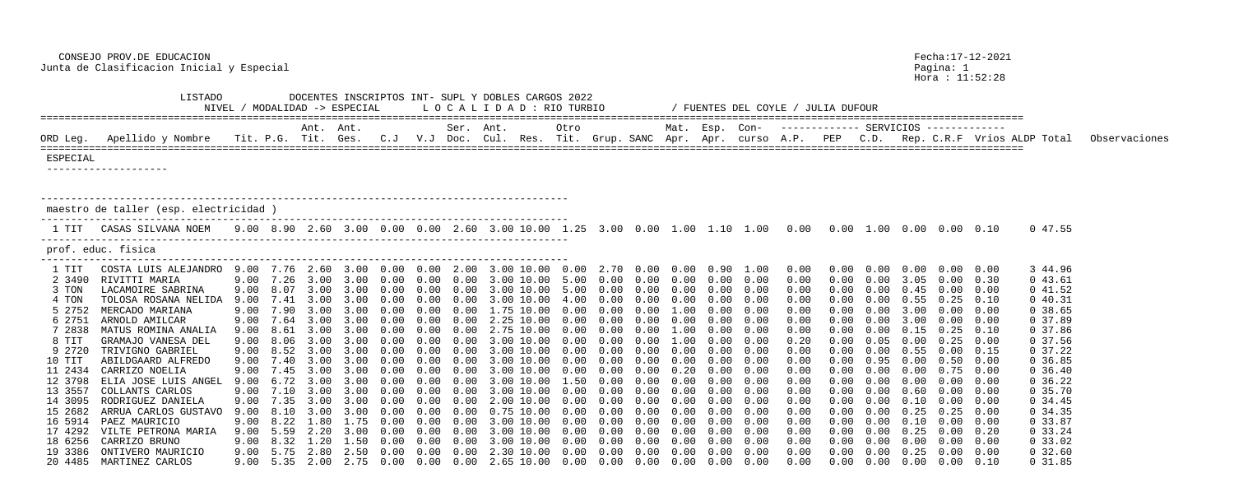CONSEJO PROV.DE EDUCACION Fecha:17-12-2021 Junta de Clasificacion Inicial y Especial Pagina: 1

Hora : 11:52:28

|          | <b>TTP.I.ADO</b><br>DOCENTES INSCRIPTOS INT- SUPL Y DOBLES CARGOS 2022<br>LOCALIDAD : RIO TURBIO<br>NIVEL / MODALIDAD -> ESPECIAL<br>FUENTES DEL COYLE / JULIA DUFOUR<br>Mat. Esp. Con- |      |      |           |                                                    |                   |        |           |                                                                                                           |           |                     |      |                |      |      |                   |                                                                                                           |            |            |        |                                    |      |                                                      |               |
|----------|-----------------------------------------------------------------------------------------------------------------------------------------------------------------------------------------|------|------|-----------|----------------------------------------------------|-------------------|--------|-----------|-----------------------------------------------------------------------------------------------------------|-----------|---------------------|------|----------------|------|------|-------------------|-----------------------------------------------------------------------------------------------------------|------------|------------|--------|------------------------------------|------|------------------------------------------------------|---------------|
|          |                                                                                                                                                                                         |      |      | Ant. Ant. |                                                    |                   |        | Ser. Ant. |                                                                                                           |           | Otro                |      |                |      |      |                   |                                                                                                           |            |            |        |                                    |      |                                                      |               |
| ORD Leg. | Apellido y Nombre                                                                                                                                                                       |      |      |           | Tit. P.G. Tit. Ges. C.J                            |                   |        |           | V.J Doc. Cul. Res. Tit. Grup. SANC Apr.                                                                   |           |                     |      |                |      |      |                   |                                                                                                           |            |            |        |                                    |      | Apr. curso A.P. PEP C.D. Rep. C.R.F Vrios ALDP Total | Observaciones |
| ESPECIAL |                                                                                                                                                                                         |      |      |           |                                                    |                   |        |           |                                                                                                           |           |                     |      |                |      |      |                   |                                                                                                           |            |            |        |                                    |      |                                                      |               |
|          | maestro de taller (esp. electricidad                                                                                                                                                    |      |      |           |                                                    |                   |        |           |                                                                                                           |           |                     |      |                |      |      |                   |                                                                                                           |            |            |        |                                    |      |                                                      |               |
| 1 TIT    | CASAS SILVANA NOEM                                                                                                                                                                      |      |      |           |                                                    |                   |        |           |                                                                                                           |           |                     |      |                |      |      |                   | 9.00 8.90 2.60 3.00 0.00 0.00 2.60 3.00 10.00 1.25 3.00 0.00 1.00 1.10 1.00 0.00 0.00 1.00 0.00 0.00 0.10 |            |            |        |                                    |      | 0 47.55                                              |               |
|          | prof. educ. fisica                                                                                                                                                                      |      |      |           |                                                    |                   |        |           |                                                                                                           |           |                     |      |                |      |      |                   |                                                                                                           |            |            |        |                                    |      |                                                      |               |
| 1 TIT    | COSTA LUIS ALEJANDRO 9.00 7.76 2.60 3.00 0.00 0.00 2.00                                                                                                                                 |      |      |           |                                                    |                   |        |           | 3.00 10.00 0.00                                                                                           |           |                     |      | 2.70 0.00 0.00 |      | 0.90 | 1.00              | 0.00                                                                                                      |            | 0.00       | 0.00   | 0.00                               | 0.00 | 3 44.96                                              |               |
| 2 3490   | RIVITTI MARIA                                                                                                                                                                           |      |      |           | 9.00 7.26 3.00 3.00 0.00                           |                   | 0.00   | (0.00)    | 3.00 10.00 5.00                                                                                           |           |                     | 0.00 | 0.00           | 0.00 | 0.00 | 0.00              | 0.00                                                                                                      |            | 0.00       | 3.05   | 0.00                               | 0.30 | 043.61                                               |               |
| 3 TON    | LACAMOIRE SABRINA                                                                                                                                                                       | 9.00 |      |           |                                                    |                   |        |           |                                                                                                           |           |                     |      |                |      |      |                   | 0.00                                                                                                      |            |            |        |                                    | 0.00 | 041.52                                               |               |
| 4 TON    | TOLOSA ROSANA NELIDA                                                                                                                                                                    | 9.00 | 7.41 | $-3.00$   | $-3.00$                                            | $(1 \tcdot 1)(1)$ |        |           |                                                                                                           | 10.00     | $\bigcap$ $\bigcap$ |      |                |      |      | 0.00              | 0.00                                                                                                      |            |            | 0.55   | 0.25                               | 0.10 | 040.31                                               |               |
| 5 2752   | MERCADO MARIANA                                                                                                                                                                         |      |      |           | 9.00 7.90 3.00 3.00                                | - 0 00            | (1.00) |           |                                                                                                           | .75 10.00 | 0.00                |      |                |      |      | 0.00              | 0.00                                                                                                      |            |            | 3.00   | 0.00                               | 0.00 | 0, 38.65                                             |               |
| 6 2751   | ARNOLD AMILCAR                                                                                                                                                                          | 9.00 |      |           |                                                    |                   |        |           |                                                                                                           | 10.00     |                     |      |                |      |      |                   | 0.00                                                                                                      |            |            |        |                                    | 0.00 | 0, 37.89                                             |               |
| 7 2838   | MATUS ROMINA ANALIA                                                                                                                                                                     | 9.00 | 8.61 |           | $\prec$ (10)                                       |                   |        |           | 2.75                                                                                                      | $-10.00$  |                     |      |                |      |      | 0.00              | 0.00                                                                                                      |            |            |        |                                    | 0.10 | 0, 37.86                                             |               |
| 8 TIT    | GRAMAJO VANESA DEL                                                                                                                                                                      | 9.00 | 8.06 | $-3.00$   |                                                    |                   |        |           | 3.00 10.00                                                                                                |           |                     |      |                |      |      | 0.00              | 0.20                                                                                                      |            |            | (0.00) | 0.25                               | 0.00 | 0, 37.56                                             |               |
| 9 2720   | TRIVIGNO GABRIEL                                                                                                                                                                        |      | 8.52 |           |                                                    |                   |        |           |                                                                                                           | 10.00     |                     |      |                |      |      |                   | 0.00                                                                                                      |            |            |        |                                    | 0.15 | $0\,37.22$                                           |               |
| 10 TIT   | ABILDGAARD ALFREDO                                                                                                                                                                      | 9.00 | 7.40 | 3.00      | 3.00                                               | (1.00)            |        |           |                                                                                                           | 10.00     | 0.00                |      |                |      |      | 0.00              | 0.00                                                                                                      |            |            |        |                                    | 0.00 | 0.36.85                                              |               |
| 11 2434  | CARRIZO NOELIA                                                                                                                                                                          |      |      |           | 9.00 7.45 3.00 3.00 0.00                           |                   |        |           | 3.00 10.00                                                                                                |           | 0.00                | 0.00 | 0.00           |      |      | 0.00              | 0.00                                                                                                      |            | 0.00       | 0.00   | $0.75$ 0.00                        |      | 0, 36.40                                             |               |
|          | 12 3798 ELIA JOSE LUIS ANGEL 9.00 6.72 3.00 3.00 0.00 0.00 0.00 3.00 10.00 1.50 0.00 0.00 0.00 0.00 0.00                                                                                |      |      |           |                                                    |                   |        |           |                                                                                                           |           |                     |      |                |      |      |                   | 0.00                                                                                                      |            |            |        | $0.00$ $0.00$ $0.00$ $0.00$ $0.00$ |      | $0\,36.22$                                           |               |
| 13 3557  | COLLANTS CARLOS                                                                                                                                                                         |      |      |           |                                                    |                   |        |           | $9.00$ $7.10$ $3.00$ $3.00$ $0.00$ $0.00$ $0.00$ $3.00$ $10.00$ $0.00$ $0.00$ $0.00$ $0.00$ $0.00$ $0.00$ |           |                     |      |                |      |      |                   | 0.00                                                                                                      | 0.00       |            |        | $0.00 \t 0.60 \t 0.00 \t 0.00$     |      | 0, 35.70                                             |               |
|          | 14 3095 RODRIGUEZ DANIELA                                                                                                                                                               |      |      |           |                                                    |                   |        |           |                                                                                                           |           |                     |      |                |      |      |                   | 0.00                                                                                                      | $0\,.\,00$ |            |        | $0.00 \t 0.10 \t 0.00 \t 0.00$     |      | $0\,34.45$                                           |               |
| 15 2682  | ARRUA CARLOS GUSTAVO                                                                                                                                                                    |      |      |           | 9.00 8.10 3.00 3.00 0.00                           |                   |        |           | $0.00$ $0.00$ $0.75$ $10.00$ $0.00$ $0.00$ $0.00$ $0.00$                                                  |           |                     |      |                |      |      | $0.00 \quad 0.00$ | 0.00                                                                                                      | $0\,.\,00$ | $0\,.\,00$ |        | $0.25$ $0.25$                      | 0.00 | 0, 34.35                                             |               |
| 16 5914  | PAEZ MAURICIO                                                                                                                                                                           |      |      |           | 9.00 8.22 1.80 1.75 0.00                           |                   |        |           | $0.00$ $0.00$ $3.00$ $10.00$ $0.00$ $0.00$ $0.00$ $0.00$                                                  |           |                     |      |                |      |      | $0.00 \quad 0.00$ | 0.00                                                                                                      | 0.00       | 0.00       |        | $0.10$ $0.00$ $0.00$               |      | 0, 33.87                                             |               |
|          | 17 4292 VILTE PETRONA MARIA                                                                                                                                                             |      |      |           |                                                    |                   |        |           |                                                                                                           |           |                     |      |                |      |      | $0.00 \quad 0.00$ | 0.00                                                                                                      | $0\,.\,00$ |            |        | $0.00 \t 0.25 \t 0.00 \t 0.20$     |      | $0\,33.24$                                           |               |
| 18 6256  | CARRIZO BRUNO                                                                                                                                                                           |      |      |           | $9.00 \quad 8.32 \quad 1.20 \quad 1.50 \quad 0.00$ |                   |        |           | $0.00$ $0.00$ 3.00 $10.00$ $0.00$ $0.00$ $0.00$ $0.00$ $0.00$ $0.00$                                      |           |                     |      |                |      |      |                   | 0.00                                                                                                      | $0\,.\,00$ | 0.00       |        | $0.00 \quad 0.00 \quad 0.00$       |      | $0\,33.02$                                           |               |
|          | 19 3386 ONTIVERO MAURICIO                                                                                                                                                               |      |      |           |                                                    |                   |        |           | $9.00$ 5.75 2.80 2.50 0.00 0.00 0.00 2.30 10.00 0.00 0.00 0.00 0.00 0.00 0.00                             |           |                     |      |                |      |      |                   | 0.00                                                                                                      |            |            |        | $0.00$ $0.00$ $0.25$ $0.00$ $0.00$ |      | $0\,32.60$                                           |               |
|          | 20 4485 – MARTINEZ CARLOS                                                                                                                                                               |      |      |           |                                                    |                   |        |           |                                                                                                           |           |                     |      |                |      |      |                   |                                                                                                           |            |            |        |                                    |      | 0 31 85                                              |               |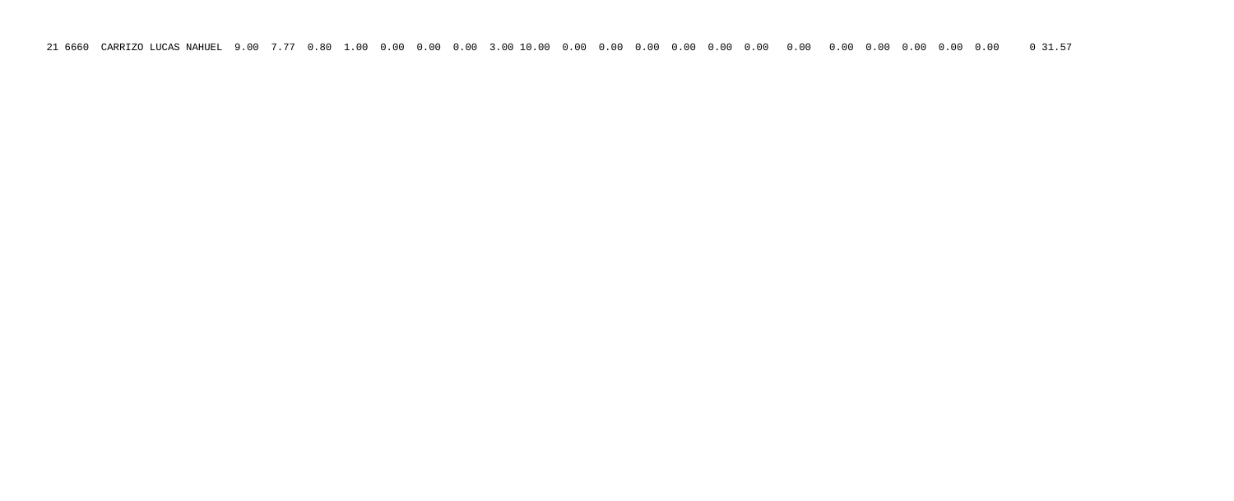21 6660 CARRIZO LUCAS NAHUEL 9.00 7.77 0.80 1.00 0.00 0.00 0.00 3.00 10.00 0.00 0.00 0.00 0.00 0.00 0.00 0.00 0.00 0.00 0.00 0.00 0.00 0 31.57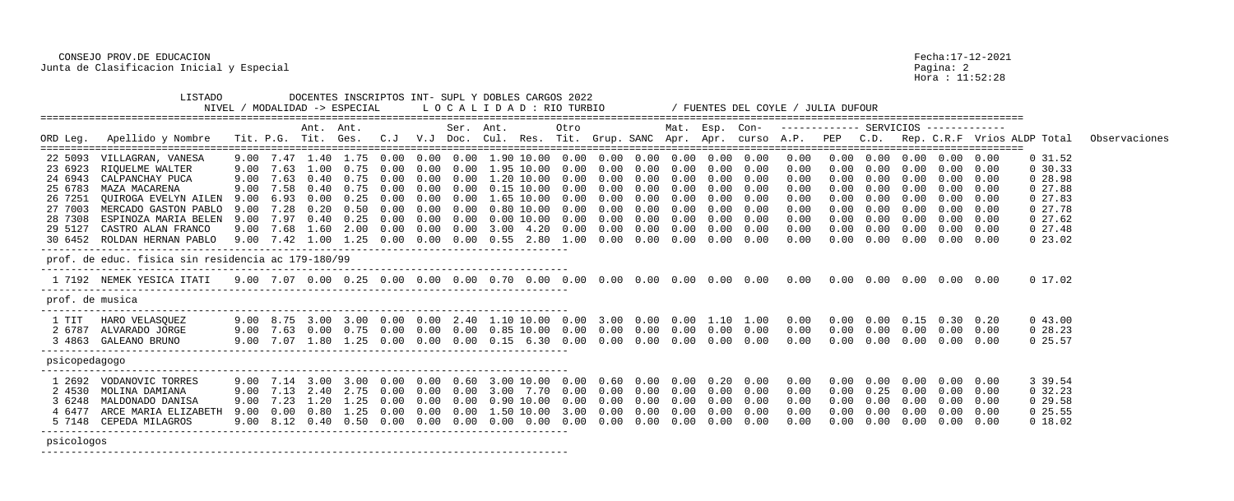Hora : 11:52:28

|                    |                                                    |              |              | Ant. Ant.           |                             |              |              | Ser.               | Ant. |                                         | Otro         |              |                   | Mat. Esp. Con- |            |                                    |              | ------------ SERVICIOS ------------ |                   |              |                                |              |                                                                                                  |               |
|--------------------|----------------------------------------------------|--------------|--------------|---------------------|-----------------------------|--------------|--------------|--------------------|------|-----------------------------------------|--------------|--------------|-------------------|----------------|------------|------------------------------------|--------------|-------------------------------------|-------------------|--------------|--------------------------------|--------------|--------------------------------------------------------------------------------------------------|---------------|
|                    | ORD Leg. Apellido y Nombre                         |              |              | Tit. P.G. Tit. Ges. |                             |              |              |                    |      |                                         |              |              |                   |                |            |                                    |              |                                     |                   |              |                                |              | C.J V.J Doc. Cul. Res. Tit. Grup. SANC Apr. Apr. curso A.P. PEP C.D. Rep. C.R.F Vrios ALDP Total | Observaciones |
|                    |                                                    |              |              |                     |                             |              |              |                    |      |                                         |              |              |                   |                |            |                                    |              |                                     |                   |              |                                |              |                                                                                                  |               |
| 22 5093            | VILLAGRAN, VANESA                                  | 9.00         | 7.47<br>7.63 | 1.00                | 1.40 1.75<br>0.75           | 0.00<br>0.00 | 0.00<br>0.00 | $0\,.\,00$<br>0.00 |      | 1.90 10.00<br>1.95 10.00                | 0.00<br>0.00 | 0.00         | 0.00              | 0.00           | 0.00       | 0.00<br>$0.00 \quad 0.00$          | 0.00         |                                     | 0.00<br>0.00      | 0.00         | $0.00 \quad 0.00$<br>0.00      |              | 0, 31.52                                                                                         |               |
| 23 6923            | RIOUELME WALTER                                    | 9.00         |              | 0.40                | 0.75                        | 0.00         | 0.00         | 0.00               |      | 1,20 10,00                              | 0.00         | 0.00<br>0.00 | 0.00<br>0.00      | 0.00<br>0.00   | 0.00       |                                    | 0.00         | 0.00                                | 0.00              | 0.00<br>0.00 | 0.00                           | 0.00         | 0, 30, 33                                                                                        |               |
| 24 6943            | CALPANCHAY PUCA                                    | 9.00         | 7.63<br>7.58 | 0.40                | 0.75                        | 0.00         |              | 0.00               |      | 0.15 10.00                              | 0.00         | 0.00         |                   |                | 0.00       | 0.00<br>0.00                       | 0.00         |                                     | 0.00              |              | 0.00                           | 0.00         | 0, 28.98                                                                                         |               |
| 25 6783<br>26 7251 | MAZA MACARENA<br>OUIROGA EVELYN AILEN              | 9.00<br>9.00 | 6.93         | 0.00                | 0.25                        | 0.00         | 0.00<br>0.00 | 0.00               |      | $.65$ $10.00$                           | 0.00         | 0.00         | 0.00<br>0.00      | 0.00<br>0.00   | 0.00       | 0.00                               | 0.00<br>0.00 | 0.00                                | 0.00              | 0.00<br>0.00 | 0.00                           | 0.00<br>0.00 | 027.88<br>027.83                                                                                 |               |
| 27 7003            | MERCADO GASTON PABLO                               | 9.00         | 7.28         | 0.20                | 0.50                        | 0.00         | 0.00         | 0.00               |      | $0.80$ $10.00$                          | 0.00         | 0.00         | 0.00              | 0.00           | 0.00       | 0.00                               | 0.00         | 0.00                                | 0.00              | 0.00         | 0.00                           | 0.00         | 027.78                                                                                           |               |
| 28 7308            | ESPINOZA MARIA BELEN                               | 9.00         | 7.97         | 0.40                | 0.25                        | 0.00         | 0.00         | 0.00               |      | $0.00$ $10.00$                          | 0.00         | 0.00         | 0.00              | 0.00           | 0.00       | 0.00                               | 0.00         | 0.00                                | 0.00              | 0.00         | $0.00 \quad 0.00$              |              | 027.62                                                                                           |               |
| 29 5127            | CASTRO ALAN FRANCO                                 |              | $9.00$ 7.68  |                     | 1.60 2.00                   | 0.00         | 0.00         | 0.00               |      | $3.00 \quad 4.20$                       | $0\,.\,00$   | 0.00         | 0.00              | $0\,.\,00$     |            | $0.00 \quad 0.00$                  | 0.00         | 0.00                                | 0.00              | 0.00         | $0.00 \quad 0.00$              |              | 027.48                                                                                           |               |
| 30 6452            | ROLDAN HERNAN PABLO                                |              |              |                     | $9.00$ $7.42$ $1.00$ $1.25$ | 0.00         | 0.00         |                    |      | $0.00$ $0.55$ $2.80$ $1.00$             |              | 0.00         | 0.00              | 0.00           | 0.00       | 0.00                               | 0.00         | 0.00                                | 0.00              | 0.00         | $0.00 \quad 0.00$              |              | $0\,23.02$                                                                                       |               |
|                    |                                                    |              |              |                     |                             |              |              |                    |      |                                         |              |              |                   |                |            |                                    |              |                                     |                   |              |                                |              |                                                                                                  |               |
|                    | prof. de educ. fisica sin residencia ac 179-180/99 |              |              |                     |                             |              |              |                    |      |                                         |              |              |                   |                |            |                                    |              |                                     |                   |              |                                |              |                                                                                                  |               |
|                    | 1 7192 NEMEK YESICA ITATI                          |              |              |                     |                             |              |              |                    |      |                                         |              |              |                   |                |            |                                    |              |                                     |                   |              |                                |              | 0 17.02                                                                                          |               |
| prof. de musica    |                                                    |              |              |                     |                             |              |              |                    |      |                                         |              |              |                   |                |            |                                    |              |                                     |                   |              |                                |              |                                                                                                  |               |
| 1 TIT              | HARO VELASQUEZ                                     |              |              |                     | 9.00 8.75 3.00 3.00         | 0.00         | 0.00         | 2.40               |      | 1.10 10.00                              | 0.00         |              |                   |                |            | $3.00$ 0.00 0.00 1.10 1.00         | 0.00         | 0.00                                |                   |              | $0.00 \t 0.15 \t 0.30 \t 0.20$ |              | 043.00                                                                                           |               |
| 2 6787             | ALVARADO JORGE                                     | 9.00         |              |                     |                             | 0.00         |              |                    |      | $0.00$ $0.00$ $0.85$ $10.00$ $0.00$     |              |              | $0.00 \quad 0.00$ |                |            | $0.00 \t 0.00 \t 0.00$             | 0.00         | $0\,.\,00$                          | $0.00 \quad 0.00$ |              | $0.00 \quad 0.00$              |              | 028.23                                                                                           |               |
| 3 4863             | GALEANO BRUNO                                      | 9.00         |              |                     | 7.07 1.80 1.25              | 0.00         |              |                    |      | $0.00$ $0.00$ $0.15$ $6.30$ $0.00$      |              | $0\,.\,00$   | 0.00              |                |            | $0.00$ $0.00$ $0.00$               | 0.00         | $0\,.\,00$                          | 0.00              | 0.00         | $0.00$ $0.00$                  |              | 0, 25.57                                                                                         |               |
| psicopedagogo      |                                                    |              |              |                     |                             |              |              |                    |      |                                         |              |              |                   |                |            |                                    |              |                                     |                   |              |                                |              |                                                                                                  |               |
|                    | 1 2692 VODANOVIC TORRES                            | 9.00         |              |                     | 7.14 3.00 3.00 0.00         |              |              |                    |      | $0.00 \t 0.60 \t 3.00 \t 10.00 \t 0.00$ |              |              |                   |                |            | $0.60$ $0.00$ $0.00$ $0.20$ $0.00$ | 0.00         | 0.00                                | 0.00              | 0.00         | $0.00 \quad 0.00$              |              | 3 39.54                                                                                          |               |
| 2 4530             | MOLINA DAMIANA                                     | 9.00         |              | 7.13 2.40           | 2.75                        | 0.00         | 0.00         | 0.00               | 3.00 | 7.70                                    | 0.00         | 0.00         | 0.00              | 0.00           | $0\,.\,00$ | 0.00                               | 0.00         | 0.00                                | 0.25              | 0.00         | 0.00                           | 0.00         | 0, 32.23                                                                                         |               |
| 3 6248             | MALDONADO DANISA                                   | 9.00         | 7.23         | $1\ldotp20$         | 1.25                        | 0.00         | 0.00         | 0.00               |      | $0.90$ $10.00$                          | 0.00         | 0.00         | 0.00              | 0.00           | 0.00       | 0.00                               | 0.00         | 0.00                                | 0.00              | 0.00         | $0\,.\,00$                     | 0.00         | 0, 29.58                                                                                         |               |
| 4 6477             | ARCE MARIA ELIZABETH                               | 9.00         | 0.00         | 0.80                | 1.25                        |              | 0.00         |                    |      | 1.50 10.00                              | 3.00         | 0.00         | 0.00              |                | 0.00       | 0.00                               | 0.00         |                                     | 0.00              | 0.00         | 0.00                           | 0.00         | $0\,25.55$                                                                                       |               |
|                    | 5 7148 CEPEDA MILAGROS                             | 9.00         | 8.12         |                     | $0.40 \quad 0.50$           | 0.00         | 0.00         | 0.00               |      | $0.00 \quad 0.00$                       | 0.00         | 0.00         | 0.00              | 0.00           | 0.00       | 0.00                               | 0.00         |                                     | 0.00              | 0.00         | $0.00 \quad 0.00$              |              | 0 18.02                                                                                          |               |
|                    |                                                    |              |              |                     |                             |              |              |                    |      |                                         |              |              |                   |                |            |                                    |              |                                     |                   |              |                                |              |                                                                                                  |               |

 CONSEJO PROV.DE EDUCACION Fecha:17-12-2021 Junta de Clasificacion Inicial y Especial<br>Hora : 11:52:28

 LISTADO DOCENTES INSCRIPTOS INT- SUPL Y DOBLES CARGOS 2022 NIVEL / MODALIDAD -> ESPECIAL L O C A L I D A D : RIO TURBIO / FUENTES DEL COYLE / JULIA DUFOUR ================================================================================================================================================================== Ant. Ant. Ser. Ant. Otro Mat. Esp. Con- ------------- SERVICIOS ------------- ================================================================================================================================================================== 22 5093 VILLAGRAN, VANESA 9.00 7.47 1.40 1.75 0.00 0.00 0.00 1.90 10.00 0.00 0.00 0.00 0.00 0.00 0.00 0.00 0.00 0.00 0.00 0.00 0.00 0 31.52 23 6923 RIQUELME WALTER 9.00 7.63 1.00 0.75 0.00 0.00 0.00 1.95 10.00 0.00 0.00 0.00 0.00 0.00 0.00 0.00 0.00 0.00 0.00 0.00 0.00 0 30.33 24 6943 CALPANCHAY PUCA 9.00 7.63 0.40 0.75 0.00 0.00 0.00 1.20 10.00 0.00 0.00 0.00 0.00 0.00 0.00 0.00 0.00 0.00 0.00 0.00 0.00 0 28.98 25 6783 MAZA MACARENA 9.00 7.58 0.40 0.75 0.00 0.00 0.00 0.15 10.00 0.00 0.00 0.00 0.00 0.00 0.00 0.00 0.00 0.00 0.00 0.00 0.00 0 27.88 26 7251 QUIROGA EVELYN AILEN 9.00 6.93 0.00 0.25 0.00 0.00 0.00 1.65 10.00 0.00 0.00 0.00 0.00 0.00 0.00 0.00 0.00 0.00 0.00 0.00 0.00 0 27.83 27 7003 MERCADO GASTON PABLO 9.00 7.28 0.20 0.50 0.00 0.00 0.00 0.80 10.00 0.00 0.00 0.00 0.00 0.00 0.00 0.00 0.00 0.00 0.00 0.00 0.00 0 27.78 28 7308 ESPINOZA MARIA BELEN 9.00 7.97 0.40 0.25 0.00 0.00 0.00 0.00 10.00 0.00 0.00 0.00 0.00 0.00 0.00 0.00 0.00 0.00 0.00 0.00 0.00 0 27.62 29 5127 CASTRO ALAN FRANCO 9.00 7.68 1.60 2.00 0.00 0.00 0.00 3.00 4.20 0.00 0.00 0.00 0.00 0.00 0.00 0.00 0.00 0.00 0.00 0.00 0.00 0 27.48 30 6452 ROLDAN HERNAN PABLO 9.00 7.42 1.00 1.25 0.00 0.00 0.00 0.55 2.80 1.00 0.00 0.00 0.00 0.00 0.00 0.00 0.00 0.00 0.00 0.00 0.00 0 23.02 -------------------------------------------------------------------------------------- prof. de educ. fisica sin residencia ac 179-180/99 --------------------------------------------------------------------------------------- 1 7192 NEMEK YESICA ITATI 9.00 7.07 0.00 0.25 0.00 0.00 0.00 0.70 0.00 0.00 0.00 0.00 0.00 0.00 0.00 0.00 0.00 0.00 0.00 0.00 0.00 0 17.02 -------------------------------------------------------------------------------------- prof. de musica --------------------------------------------------------------------------------------- 1 TIT HARO VELASQUEZ 9.00 8.75 3.00 3.00 0.00 0.00 2.40 1.10 10.00 0.00 3.00 0.00 0.00 1.10 1.00 0.00 0.00 0.00 0.15 0.30 0.20 0 43.00 2 6787 ALVARADO JORGE 9.00 7.63 0.00 0.75 0.00 0.00 0.00 0.85 10.00 0.00 0.00 0.00 0.00 0.00 0.00 0.00 0.00 0.00 0.00 0.00 0.00 0 28.23 3 4863 GALEANO BRUNO 9.00 7.07 1.80 1.25 0.00 0.00 0.00 0.15 6.30 0.00 0.00 0.00 0.00 0.00 0.00 0.00 0.00 0.00 0.00 0.00 0.00 0 25.57 -------------------------------------------------------------------------------------- psicopedagogo --------------------------------------------------------------------------------------- 1 2692 VODANOVIC TORRES 9.00 7.14 3.00 3.00 0.00 0.00 0.60 3.00 10.00 0.00 0.60 0.00 0.00 0.20 0.00 0.00 0.00 0.00 0.00 0.00 0.00 3 39.54 2 4530 MOLINA DAMIANA 9.00 7.13 2.40 2.75 0.00 0.00 0.00 3.00 7.70 0.00 0.00 0.00 0.00 0.00 0.00 0.00 0.00 0.25 0.00 0.00 0.00 0 32.23 3 6248 MALDONADO DANISA 9.00 7.23 1.20 1.25 0.00 0.00 0.00 0.90 10.00 0.00 0.00 0.00 0.00 0.00 0.00 0.00 0.00 0.00 0.00 0.00 0.00 0 29.58 4 6477 ARCE MARIA ELIZABETH 9.00 0.00 0.80 1.25 0.00 0.00 0.00 1.50 10.00 3.00 0.00 0.00 0.00 0.00 0.00 0.00 0.00 0.00 0.00 0.00 0.00 0 25.55 5 7148 CEPEDA MILAGROS 9.00 8.12 0.40 0.50 0.00 0.00 0.00 0.00 0.00 0.00 0.00 0.00 0.00 0.00 0.00 0.00 0.00 0.00 0.00 0.00 0.00 0 18.02 -------------------------------------------------------------------------------------- psicologos ---------------------------------------------------------------------------------------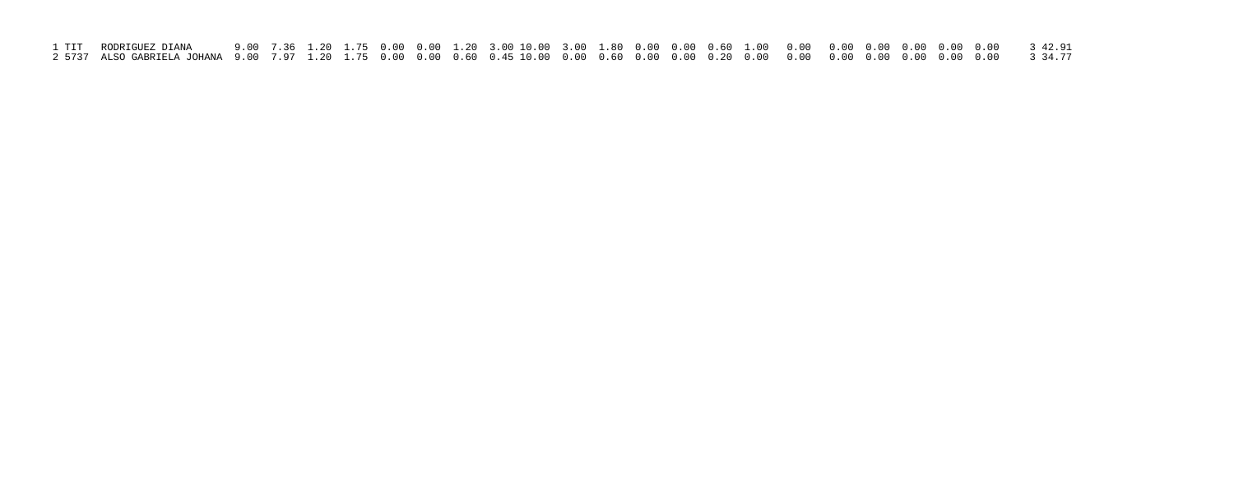| 1 TIT – RODRIGUEZ DIANA |  |  |  |  |  |  |  |  |  |  |  |
|-------------------------|--|--|--|--|--|--|--|--|--|--|--|
|                         |  |  |  |  |  |  |  |  |  |  |  |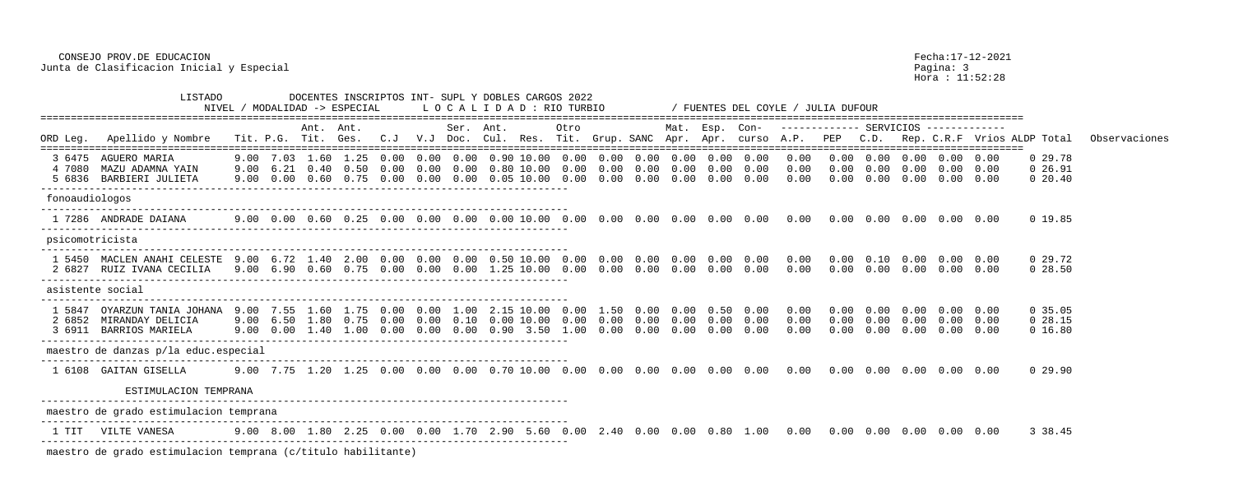Hora : 11:52:28

|                  | NIVEL /                                                                 | LOCALIDAD : RIO TURBIO |      |                                  |                                                                                                                                             |                  |              | FUENTES DEL COYLE /      |      | ' JULIA DUFOUR                                        |      |                      |                      |                      |                           |                      |                                                                                                                                                                                                                                 |                                              |              |                                   |                                             |                      |                                     |               |
|------------------|-------------------------------------------------------------------------|------------------------|------|----------------------------------|---------------------------------------------------------------------------------------------------------------------------------------------|------------------|--------------|--------------------------|------|-------------------------------------------------------|------|----------------------|----------------------|----------------------|---------------------------|----------------------|---------------------------------------------------------------------------------------------------------------------------------------------------------------------------------------------------------------------------------|----------------------------------------------|--------------|-----------------------------------|---------------------------------------------|----------------------|-------------------------------------|---------------|
| ORD Leg.         | Apellido y Nombre                                                       |                        |      | Ant. Ant.<br>Tit. P.G. Tit. Ges. |                                                                                                                                             |                  |              | Ser. Ant.                |      |                                                       | Otro |                      |                      | Mat. Esp. Con-       |                           |                      | C.J V.J Doc. Cul. Res. Tit. Grup. SANC Apr. Apr. curso A.P.                                                                                                                                                                     | ------------- SERVICIOS -------------<br>PEP | C.D.         |                                   |                                             |                      | Rep. C.R.F Vrios ALDP Total         | Observaciones |
| 4 7080           | 3 6475 AGUERO MARIA<br>MAZU ADAMNA YAIN<br>5 6836 BARBIERI JULIETA      | 9.00                   |      |                                  | $9.00$ $7.03$ $1.60$ $1.25$ $0.00$ $0.00$ $0.00$ $0.90$ $10.00$ $0.00$ $0.00$ $0.00$ $0.00$ $0.00$<br>6.21 0.40 0.50<br>9.00 0.00 0.60 0.75 | 0.00<br>0.00     | 0.00<br>0.00 | 0.00<br>0.00             | 0.80 | 10.00<br>$0.05$ 10.00 0.00                            | 0.00 | $0\,.\,00$<br>0.00   | 0.00<br>0.00         | 0.00<br>0.00         | $0\,.\,00$<br>0.00        | 0.00<br>0.00<br>0.00 | 0.00<br>0.00<br>0.00                                                                                                                                                                                                            | 0.00<br>0.00<br>0.00                         | 0.00         | $0.00 \quad 0.00$<br>0.00         | $0.00 \t0.00 \t0.00 \t0.00$<br>0.00<br>0.00 | 0.00<br>0.00         | 0 29.78<br>$0\,26.91$<br>$0\,20.40$ |               |
| fonoaudiologos   |                                                                         |                        |      |                                  |                                                                                                                                             |                  |              |                          |      |                                                       |      |                      |                      |                      |                           |                      |                                                                                                                                                                                                                                 |                                              |              |                                   |                                             |                      |                                     |               |
|                  | 1 7286 ANDRADE DAIANA                                                   |                        |      |                                  |                                                                                                                                             |                  |              |                          |      |                                                       |      |                      |                      |                      |                           |                      | 9.00  0.00  0.60  0.25  0.00  0.00  0.00  0.00  0.00  0.00  0.00  0.00  0.00  0.00  0.00  0.00  0.00  0.00  0.00  0.00  0.00  0.00  0.00  0.00  0.00  0.00  0.00  0.00  0.00  0.00  0.00  0.00  0.00  0.00  0.00  0.00  0.00  0 |                                              |              |                                   |                                             |                      | 0 19.85                             |               |
| psicomotricista  |                                                                         |                        |      |                                  |                                                                                                                                             |                  |              |                          |      |                                                       |      |                      |                      |                      |                           |                      |                                                                                                                                                                                                                                 |                                              |              |                                   |                                             |                      |                                     |               |
|                  | 1 5450 MACLEN ANAHI CELESTE<br>2 6827 RUIZ IVANA CECILIA                |                        |      | 9.00 6.72 1.40                   | $9.00$ 6.90 0.60 0.75 0.00 0.00 0.00 1.25 10.00 0.00                                                                                        | $2.00$ 0.00 0.00 |              | 0.00                     |      | 0.50 10.00 0.00                                       |      | $0\,.\,00$           | $0.00$ $0.00$        | $0.00\quad 0.00$     | 0.00<br>$0.00 \quad 0.00$ | 0.00<br>0.00         | 0.00<br>0.00                                                                                                                                                                                                                    | 0.00<br>0.00                                 |              | 0.10 0.00<br>$0.00 \quad 0.00$    | $0.00\quad 0.00$<br>0.00                    | 0.00                 | 0 29.72<br>$0\,28.50$               |               |
|                  | asistente social                                                        |                        |      |                                  |                                                                                                                                             |                  |              |                          |      |                                                       |      |                      |                      |                      |                           |                      |                                                                                                                                                                                                                                 |                                              |              |                                   |                                             |                      |                                     |               |
| 1 5847<br>2 6852 | OYARZUN TANIA JOHANA 9.00<br>MIRANDAY DELICIA<br>3 6911 BARRIOS MARIELA |                        | 7.55 | 1.60                             | 1.75<br>9.00 6.50 1.80 0.75 0.00 0.00<br>9.00  0.00  1.40  1.00  0.00  0.00                                                                 | 0.00             | 0.00         | 1.00<br>$0\,.10$<br>0.00 |      | 2.15 10.00<br>$0.00$ $10.00$ $0.00$<br>0.90 3.50 1.00 |      | 1.50<br>0.00<br>0.00 | 0.00<br>0.00<br>0.00 | 0.00<br>0.00<br>0.00 | 0.50<br>0.00<br>0.00      | 0.00<br>0.00<br>0.00 | 0.00<br>0.00<br>0.00                                                                                                                                                                                                            | 0.00<br>0.00<br>0.00                         | 0.00<br>0.00 | 0.00<br>$0.00 \quad 0.00$<br>0.00 | 0.00<br>$0\,.\,00$<br>0.00                  | 0.00<br>0.00<br>0.00 | 0.35.05<br>$0\,28.15$<br>0 16.80    |               |
|                  | maestro de danzas p/la educ.especial                                    |                        |      |                                  |                                                                                                                                             |                  |              |                          |      |                                                       |      |                      |                      |                      |                           |                      |                                                                                                                                                                                                                                 |                                              |              |                                   |                                             |                      |                                     |               |
|                  | 1 6108 GAITAN GISELLA                                                   |                        |      |                                  |                                                                                                                                             |                  |              |                          |      |                                                       |      |                      |                      |                      |                           |                      |                                                                                                                                                                                                                                 |                                              |              |                                   |                                             |                      | 0 29.90                             |               |
|                  | ESTIMULACION TEMPRANA                                                   |                        |      |                                  |                                                                                                                                             |                  |              |                          |      |                                                       |      |                      |                      |                      |                           |                      |                                                                                                                                                                                                                                 |                                              |              |                                   |                                             |                      |                                     |               |
|                  | maestro de grado estimulacion temprana                                  |                        |      |                                  |                                                                                                                                             |                  |              |                          |      |                                                       |      |                      |                      |                      |                           |                      |                                                                                                                                                                                                                                 |                                              |              |                                   |                                             |                      |                                     |               |
|                  | VILTE VANESA                                                            |                        |      |                                  |                                                                                                                                             |                  |              |                          |      |                                                       |      |                      |                      |                      |                           |                      |                                                                                                                                                                                                                                 |                                              |              |                                   |                                             |                      | 3 38.45                             |               |

 CONSEJO PROV.DE EDUCACION Fecha:17-12-2021 Junta de Clasificacion Inicial y Especial entre a control de la pagina: 3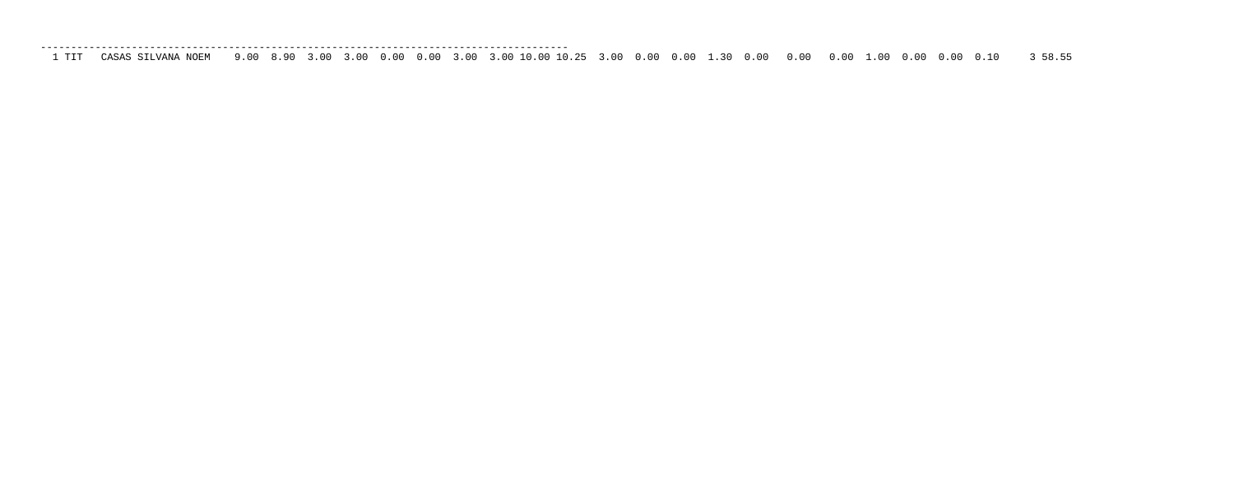--------------------------------------------------------------------------------------- 1 TIT CASAS SILVANA NOEM 9.00 8.90 3.00 3.00 0.00 0.00 3.00 3.00 10.00 10.25 3.00 0.00 0.00 1.30 0.00 0.00 0.00 1.00 0.00 0.00 0.10 3 58.55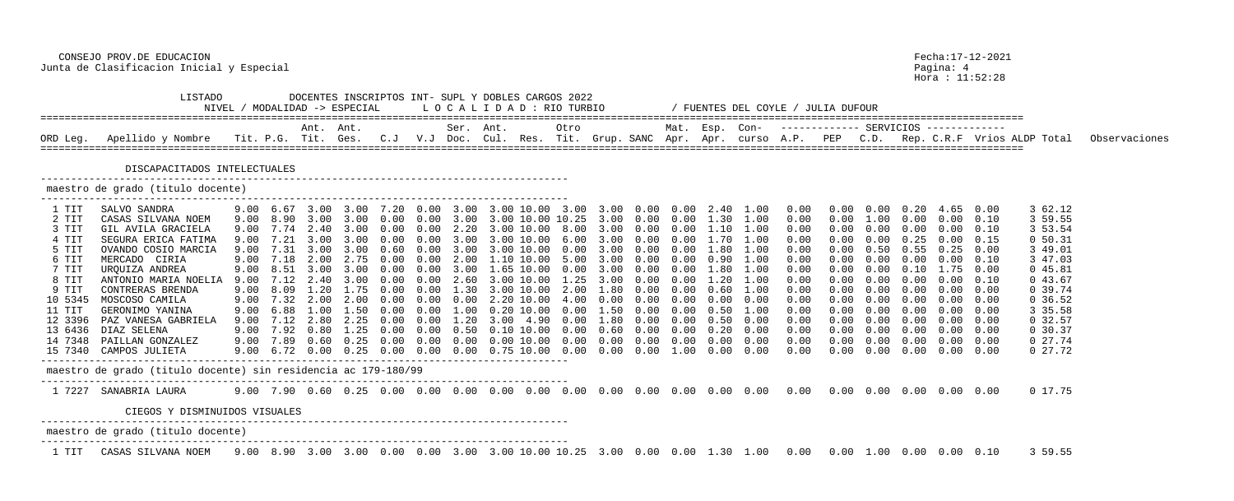CONSEJO PROV.DE EDUCACION Fecha:17-12-2021 Junta de Clasificacion Inicial y Especial Pagina: 4

Hora : 11:52:28

| TURBIO | / FUENTES DEL COYLE / JULIA DUFOUR |  |  |                                                        |                                                                          |  |
|--------|------------------------------------|--|--|--------------------------------------------------------|--------------------------------------------------------------------------|--|
| ro:    |                                    |  |  | Mat. Esp. Con-  ------------- SERVICIOS  ------------- | t. Grup. SANC Apr. Apr. curso A.P. PEP C.D. Rep. C.R.F Vrios ALDP Total. |  |

| .00                             | 3.00  | 0.00          | 0.00 | 2.40      | 1.00 | 0.00 | 0.00                 | 0.00 | 0.20 | 4.65 | 0.00 | 3 62.12                 |
|---------------------------------|-------|---------------|------|-----------|------|------|----------------------|------|------|------|------|-------------------------|
| .25                             | 3.00  | 0.00          | 0.00 | 1.30      | 1.00 | 0.00 | 0.00                 | 1.00 | 0.00 | 0.00 | 0.10 | 59.55<br>3.             |
| .00                             | 3.00  | 0.00          | 0.00 | 1.10      | 1.00 | 0.00 | 0.00                 | 0.00 | 0.00 | 0.00 | 0.10 | 53.54<br>3              |
| .00                             | 3.00  | 0.00          | 0.00 | 1.70      | 1.00 | 0.00 | 0.00                 | 0.00 | 0.25 | 0.00 | 0.15 | 50.31<br>0              |
| .00                             | 3.00  | 0.00          | 0.00 | 1.80      | 1.00 | 0.00 | 0.00                 | 0.50 | 0.55 | 0.25 | 0.00 | 49.01<br>3.             |
| .00                             | 3.00  | 0.00          | 0.00 | 0.90      | 1.00 | 0.00 | 0.00                 | 0.00 | 0.00 | 0.00 | 0.10 | 47.03<br>3.             |
| .00                             | 3.00  | 0.00          | 0.00 | 1.80      | 1.00 | 0.00 | 0.00                 | 0.00 | 0.10 | 1.75 | 0.00 | 45.81<br>$\overline{0}$ |
| .25                             | 3.00  | 0.00          | 0.00 | 1.20      | 1.00 | 0.00 | 0.00                 | 0.00 | 0.00 | 0.00 | 0.10 | 43.67<br>0              |
| .00                             | 1.80  | 0.00          | 0.00 | 0.60      | 1.00 | 0.00 | 0.00                 | 0.00 | 0.00 | 0.00 | 0.00 | 39.74<br>0              |
| $\overline{\phantom{0}}$ . $00$ | 0.00  | 0.00          | 0.00 | 0.00      | 0.00 | 0.00 | 0.00                 | 0.00 | 0.00 | 0.00 | 0.00 | 36.52<br>0              |
| .00                             | 1.50  | 0.00          | 0.00 | 0.50      | 1.00 | 0.00 | 0.00                 | 0.00 | 0.00 | 0.00 | 0.00 | 35.58<br>3.             |
| .00                             | 1.80  | 0.00          | 0.00 | 0.50      | 0.00 | 0.00 | 0.00                 | 0.00 | 0.00 | 0.00 | 0.00 | 32.57<br>$\overline{0}$ |
| .00                             | 0.60  | 0.00          | 0.00 | 0.20      | 0.00 | 0.00 | 0.00                 | 0.00 | 0.00 | 0.00 | 0.00 | 30.37<br>$\overline{0}$ |
| .00                             | 0.00  | 0.00          | 0.00 | 0.00      | 0.00 | 0.00 | 0.00                 | 0.00 | 0.00 | 0.00 | 0.00 | 27.74<br>$\overline{0}$ |
| $\cdot$ 00                      | 0.00  | 0.00          | 1.00 | 0.00      | 0.00 | 0.00 | 0.00                 | 0.00 | 0.00 | 0.00 | 0.00 | 27.72<br>$\overline{0}$ |
|                                 |       |               |      |           |      |      |                      |      |      |      |      |                         |
|                                 |       |               |      |           |      |      |                      |      |      |      |      |                         |
|                                 |       |               |      |           |      |      |                      |      |      |      |      |                         |
| $\cdot$ .00                     | 0.00  | 0.00          | 0.00 | 0.00      | 0.00 | 0.00 | 0.00                 | 0.00 | 0.00 | 0.00 | 0.00 | 0 17.75                 |
|                                 |       |               |      |           |      |      |                      |      |      |      |      |                         |
|                                 |       |               |      |           |      |      |                      |      |      |      |      |                         |
|                                 |       |               |      |           |      |      |                      |      |      |      |      |                         |
|                                 |       |               |      |           |      |      |                      |      |      |      |      |                         |
|                                 |       |               |      |           |      |      |                      |      |      |      |      |                         |
| つに                              | 3 N N | $\cap$ $\cap$ | n nn | 1 20 1 00 |      | n nn | $\cap$ $\cap$ $\cap$ |      |      |      |      | 59<br>14.15<br>2        |

 LISTADO DOCENTES INSCRIPTOS INT- SUPL Y DOBLES CARGOS 2022 NIVEL / MODALIDAD -> ESPECIAL ================================================================================================================================================================== Ant. Ant. Ser. Ant. Otro Mat. Esp. Con- ------------- SERVICIOS ------------- ORD Leg. Apellido y Nombre Tit. P.G. Tit. Ges. C.J V.J Doc. Cul. Res. Tit. Grup. SANC Apr. Apr. curso A.P. PEP C.D. Rep. C.R.F Vrios ALDP Total Observaciones ================================================================================================================================================================== DISCAPACITADOS INTELECTUALES -------------------------------------------------------------------------------------- maestro de grado (titulo docente) --------------------------------------------------------------------------------------- 1 TIT SALVO SANDRA 9.00 6.67 3.00 3.00 7.20 0.00 3.00 3.00 10.00 3 2 TIT CASAS SILVANA NOEM 9.00 8.90 3.00 3.00 0.00 0.00 3.00 3.00 10.00 10 3 TIT GIL AVILA GRACIELA 9.00 7.74 2.40 3.00 0.00 0.00 2.20 3.00 10.00 4 TIT SEGURA ERICA FATIMA 9.00 7.21 3.00 3.00 0.00 0.00 3.00 3.00 10.00 5 TIT OVANDO COSIO MARCIA 9.00 7.31 3.00 3.00 0.60 0.00 3.00 3.00 10.00<br>6 TIT MERCADO CIRIA 9.00 7.18 2.00 2.75 0.00 0.00 2.00 1.10 10.00 6 TIT MERCADO CIRIA 9.00 7.18 2.00 2.75 0.00 0.00 2.00 1.10 10.00 7 TIT URQUIZA ANDREA 9.00 8.51 3.00 3.00 0.00 0.00 3.00 1.65 10.00 0.00 3.00 0.00 0.00 1.80 1.00 0.00 0.00 0.00 0.10 1.75 0.00 0 45.81 8 TIT ANTONIO MARIA NOELIA 9.00 7.12 2.40 3.00 0.00 0.00 2.60 3.00 10.00 9 TIT CONTRERAS BRENDA 9.00 8.09 1.20 1.75 0.00 0.00 1.30 3.00 10.00 10 5345 MOSCOSO CAMILA 9.00 7.32 2.00 2.00 0.00 0.00 0.00 2.20 10.00 4.00 0.00 0.00 0.00 0.00 0.00 0.00 0.00 0.00 0.00 0.00 0.00 0 36.52 11 TIT GERONIMO YANINA 9.00 6.88 1.00 1.50 0.00 0.00 1.00 0.20 10.00 12 3396 PAZ VANESA GABRIELA 9.00 7.12 2.80 2.25 0.00 0.00 1.20 3.00 4.90 0.00 1.80 0.00 0.00 0.50 0.00 0.00 0.00 0.00 0.00 0.00 0.00 0 32.57 13 6436 DIAZ SELENA 9.00 7.92 0.80 1.25 0.00 0.00 0.50 0.10 10.00 0.00 0.60 0.00 0.00 0.20 0.00 0.00 0.00 0.00 0.00 0.00 0.00 0 30.37 14 7348 PAILLAN GONZALEZ 9.00 7.89 0.60 0.25 0.00 0.00 0.00 0.00 10.00 0.00 0.00 0.00 0.00 0.00 0.00 0.00 0.00 0.00 0.00 0.00 0.00 0 27.74 15 7340 CAMPOS JULIETA 9.00 6.72 0.00 0.25 0.00 0.00 0.00 0.75 10.00 0.00 0.00 0.00 1.00 0.00 0.00 0.00 0.00 0.00 0.00 0.00 0.00 0 27.72 -------------------------------------------------------------------------------------- maestro de grado (titulo docente) sin residencia ac 179-180/99 --------------------------------------------------------------------------------------- 1 7227 SANABRIA LAURA 9.00 7.90 0.60 0.25 0.00 0.00 0.00 0.00 0.00 0.00 0.00 0.00 0.00 0.00 0.00 0.00 0.00 0.00 0.00 0.00 0.00 0 17.75 CIEGOS Y DISMINUIDOS VISUALES -------------------------------------------------------------------------------------- maestro de grado (titulo docente) --------------------------------------------------------------------------------------- 1 TIT CASAS SILVANA NOEM 9.00 8.90 3.00 3.00 0.00 0.00 3.00 3.00 10.00 10.25 3.00 0.00 0.00 1.30 1.00 0.00 0.00 1.00 0.00 0.00 0.10 3 59.55